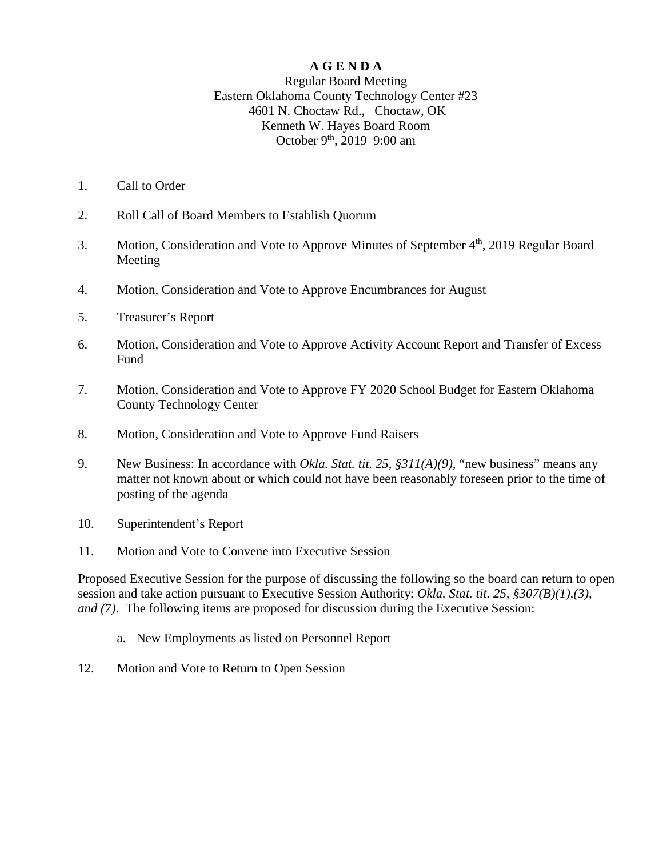#### **A G E N D A**

#### Regular Board Meeting Eastern Oklahoma County Technology Center #23 4601 N. Choctaw Rd., Choctaw, OK Kenneth W. Hayes Board Room October 9<sup>th</sup>, 2019 9:00 am

- 1. Call to Order
- 2. Roll Call of Board Members to Establish Quorum
- 3. Motion, Consideration and Vote to Approve Minutes of September 4<sup>th</sup>, 2019 Regular Board Meeting
- 4. Motion, Consideration and Vote to Approve Encumbrances for August
- 5. Treasurer's Report
- 6. Motion, Consideration and Vote to Approve Activity Account Report and Transfer of Excess **Fund**
- 7. Motion, Consideration and Vote to Approve FY 2020 School Budget for Eastern Oklahoma County Technology Center
- 8. Motion, Consideration and Vote to Approve Fund Raisers
- 9. New Business: In accordance with *Okla. Stat. tit. 25, §311(A)(9)*, "new business" means any matter not known about or which could not have been reasonably foreseen prior to the time of posting of the agenda
- 10. Superintendent's Report
- 11. Motion and Vote to Convene into Executive Session

Proposed Executive Session for the purpose of discussing the following so the board can return to open session and take action pursuant to Executive Session Authority: *Okla. Stat. tit. 25, §307(B)(1),(3), and (7)*. The following items are proposed for discussion during the Executive Session:

- a. New Employments as listed on Personnel Report
- 12. Motion and Vote to Return to Open Session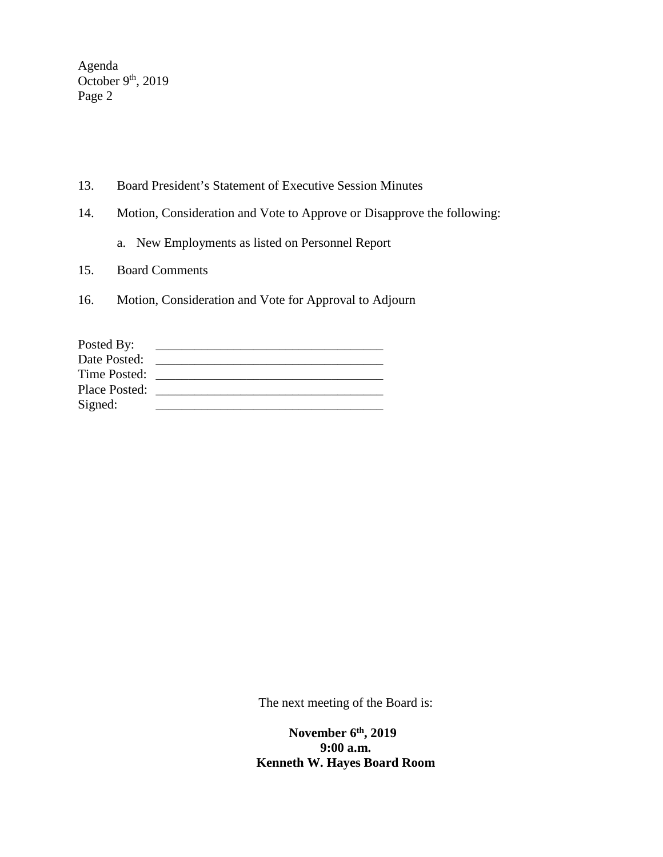Agenda October  $9<sup>th</sup>$ , 2019 Page 2

- 13. Board President's Statement of Executive Session Minutes
- 14. Motion, Consideration and Vote to Approve or Disapprove the following:
	- a. New Employments as listed on Personnel Report
- 15. Board Comments
- 16. Motion, Consideration and Vote for Approval to Adjourn

| Posted By:    |  |
|---------------|--|
| Date Posted:  |  |
| Time Posted:  |  |
| Place Posted: |  |
| Signed:       |  |

The next meeting of the Board is:

 **November 6th, 2019 9:00 a.m. Kenneth W. Hayes Board Room**